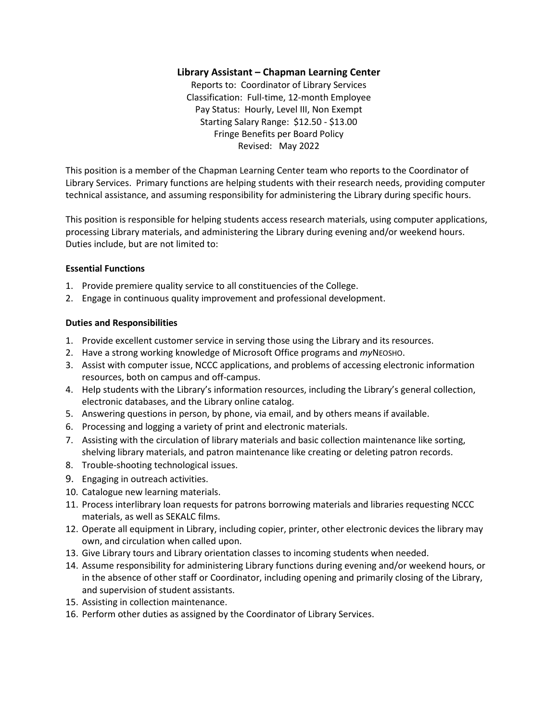# **Library Assistant – Chapman Learning Center**

Reports to: Coordinator of Library Services Classification: Full-time, 12-month Employee Pay Status: Hourly, Level III, Non Exempt Starting Salary Range: \$12.50 - \$13.00 Fringe Benefits per Board Policy Revised: May 2022

This position is a member of the Chapman Learning Center team who reports to the Coordinator of Library Services. Primary functions are helping students with their research needs, providing computer technical assistance, and assuming responsibility for administering the Library during specific hours.

This position is responsible for helping students access research materials, using computer applications, processing Library materials, and administering the Library during evening and/or weekend hours. Duties include, but are not limited to:

#### **Essential Functions**

- 1. Provide premiere quality service to all constituencies of the College.
- 2. Engage in continuous quality improvement and professional development.

#### **Duties and Responsibilities**

- 1. Provide excellent customer service in serving those using the Library and its resources.
- 2. Have a strong working knowledge of Microsoft Office programs and *my*NEOSHO.
- 3. Assist with computer issue, NCCC applications, and problems of accessing electronic information resources, both on campus and off-campus.
- 4. Help students with the Library's information resources, including the Library's general collection, electronic databases, and the Library online catalog.
- 5. Answering questions in person, by phone, via email, and by others means if available.
- 6. Processing and logging a variety of print and electronic materials.
- 7. Assisting with the circulation of library materials and basic collection maintenance like sorting, shelving library materials, and patron maintenance like creating or deleting patron records.
- 8. Trouble-shooting technological issues.
- 9. Engaging in outreach activities.
- 10. Catalogue new learning materials.
- 11. Process interlibrary loan requests for patrons borrowing materials and libraries requesting NCCC materials, as well as SEKALC films.
- 12. Operate all equipment in Library, including copier, printer, other electronic devices the library may own, and circulation when called upon.
- 13. Give Library tours and Library orientation classes to incoming students when needed.
- 14. Assume responsibility for administering Library functions during evening and/or weekend hours, or in the absence of other staff or Coordinator, including opening and primarily closing of the Library, and supervision of student assistants.
- 15. Assisting in collection maintenance.
- 16. Perform other duties as assigned by the Coordinator of Library Services.